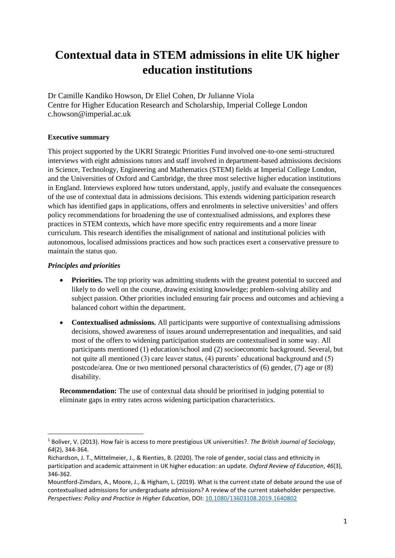# **Contextual data in STEM admissions in elite UK higher education institutions**

Dr Camille Kandiko Howson, Dr Eliel Cohen, Dr Julianne Viola Centre for Higher Education Research and Scholarship, Imperial College London c.howson@imperial.ac.uk

# **Executive summary**

This project supported by the UKRI Strategic Priorities Fund involved one-to-one semi-structured interviews with eight admissions tutors and staff involved in department-based admissions decisions in Science, Technology, Engineering and Mathematics (STEM) fields at Imperial College London, and the Universities of Oxford and Cambridge, the three most selective higher education institutions in England. Interviews explored how tutors understand, apply, justify and evaluate the consequences of the use of contextual data in admissions decisions. This extends widening participation research which has identified gaps in applications, offers and enrolments in selective universities<sup>1</sup> and offers policy recommendations for broadening the use of contextualised admissions, and explores these practices in STEM contexts, which have more specific entry requirements and a more linear curriculum. This research identifies the misalignment of national and institutional policies with autonomous, localised admissions practices and how such practices exert a conservative pressure to maintain the status quo.

# *Principles and priorities*

- **Priorities.** The top priority was admitting students with the greatest potential to succeed and likely to do well on the course, drawing existing knowledge; problem-solving ability and subject passion. Other priorities included ensuring fair process and outcomes and achieving a balanced cohort within the department.
- **Contextualised admissions.** All participants were supportive of contextualising admissions decisions, showed awareness of issues around underrepresentation and inequalities, and said most of the offers to widening participation students are contextualised in some way. All participants mentioned (1) education/school and (2) socioeconomic background. Several, but not quite all mentioned (3) care leaver status, (4) parents' educational background and (5) postcode/area. One or two mentioned personal characteristics of (6) gender, (7) age or (8) disability.

**Recommendation:** The use of contextual data should be prioritised in judging potential to eliminate gaps in entry rates across widening participation characteristics.

<sup>1</sup> Boliver, V. (2013). How fair is access to more prestigious UK universities?. *The British Journal of Sociology*, *64*(2), 344-364.

Richardson, J. T., Mittelmeier, J., & Rienties, B. (2020). The role of gender, social class and ethnicity in participation and academic attainment in UK higher education: an update. *Oxford Review of Education*, *46*(3), 346-362.

Mountford-Zimdars, A., Moore, J., & Higham, L. (2019). What is the current state of debate around the use of contextualised admissions for undergraduate admissions? A review of the current stakeholder perspective. *Perspectives: Policy and Practice in Higher Education*, DOI[: 10.1080/13603108.2019.1640802](https://doi.org/10.1080/13603108.2019.1640802)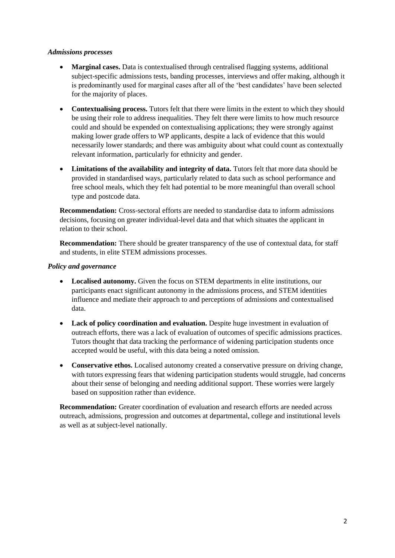#### *Admissions processes*

- **Marginal cases.** Data is contextualised through centralised flagging systems, additional subject-specific admissions tests, banding processes, interviews and offer making, although it is predominantly used for marginal cases after all of the 'best candidates' have been selected for the majority of places.
- **Contextualising process.** Tutors felt that there were limits in the extent to which they should be using their role to address inequalities. They felt there were limits to how much resource could and should be expended on contextualising applications; they were strongly against making lower grade offers to WP applicants, despite a lack of evidence that this would necessarily lower standards; and there was ambiguity about what could count as contextually relevant information, particularly for ethnicity and gender.
- **Limitations of the availability and integrity of data.** Tutors felt that more data should be provided in standardised ways, particularly related to data such as school performance and free school meals, which they felt had potential to be more meaningful than overall school type and postcode data.

**Recommendation:** Cross-sectoral efforts are needed to standardise data to inform admissions decisions, focusing on greater individual-level data and that which situates the applicant in relation to their school.

**Recommendation:** There should be greater transparency of the use of contextual data, for staff and students, in elite STEM admissions processes.

#### *Policy and governance*

- **Localised autonomy.** Given the focus on STEM departments in elite institutions, our participants enact significant autonomy in the admissions process, and STEM identities influence and mediate their approach to and perceptions of admissions and contextualised data.
- **Lack of policy coordination and evaluation.** Despite huge investment in evaluation of outreach efforts, there was a lack of evaluation of outcomes of specific admissions practices. Tutors thought that data tracking the performance of widening participation students once accepted would be useful, with this data being a noted omission.
- **Conservative ethos.** Localised autonomy created a conservative pressure on driving change, with tutors expressing fears that widening participation students would struggle, had concerns about their sense of belonging and needing additional support. These worries were largely based on supposition rather than evidence.

**Recommendation:** Greater coordination of evaluation and research efforts are needed across outreach, admissions, progression and outcomes at departmental, college and institutional levels as well as at subject-level nationally.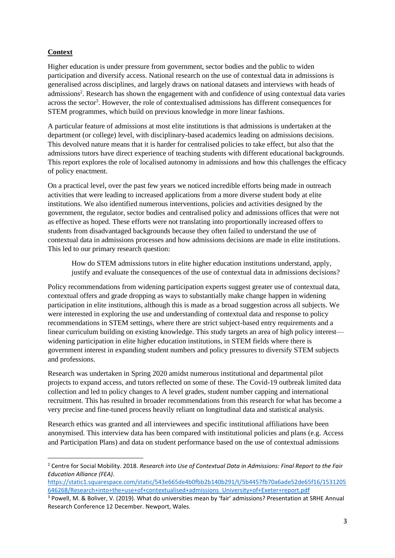# **Context**

Higher education is under pressure from government, sector bodies and the public to widen participation and diversify access. National research on the use of contextual data in admissions is generalised across disciplines, and largely draws on national datasets and interviews with heads of admissions<sup>2</sup>. Research has shown the engagement with and confidence of using contextual data varies across the sector<sup>3</sup>. However, the role of contextualised admissions has different consequences for STEM programmes, which build on previous knowledge in more linear fashions.

A particular feature of admissions at most elite institutions is that admissions is undertaken at the department (or college) level, with disciplinary-based academics leading on admissions decisions. This devolved nature means that it is harder for centralised policies to take effect, but also that the admissions tutors have direct experience of teaching students with different educational backgrounds. This report explores the role of localised autonomy in admissions and how this challenges the efficacy of policy enactment.

On a practical level, over the past few years we noticed incredible efforts being made in outreach activities that were leading to increased applications from a more diverse student body at elite institutions. We also identified numerous interventions, policies and activities designed by the government, the regulator, sector bodies and centralised policy and admissions offices that were not as effective as hoped. These efforts were not translating into proportionally increased offers to students from disadvantaged backgrounds because they often failed to understand the use of contextual data in admissions processes and how admissions decisions are made in elite institutions. This led to our primary research question:

How do STEM admissions tutors in elite higher education institutions understand, apply, justify and evaluate the consequences of the use of contextual data in admissions decisions?

Policy recommendations from widening participation experts suggest greater use of contextual data, contextual offers and grade dropping as ways to substantially make change happen in widening participation in elite institutions, although this is made as a broad suggestion across all subjects. We were interested in exploring the use and understanding of contextual data and response to policy recommendations in STEM settings, where there are strict subject-based entry requirements and a linear curriculum building on existing knowledge. This study targets an area of high policy interest widening participation in elite higher education institutions, in STEM fields where there is government interest in expanding student numbers and policy pressures to diversify STEM subjects and professions.

Research was undertaken in Spring 2020 amidst numerous institutional and departmental pilot projects to expand access, and tutors reflected on some of these. The Covid-19 outbreak limited data collection and led to policy changes to A level grades, student number capping and international recruitment. This has resulted in broader recommendations from this research for what has become a very precise and fine-tuned process heavily reliant on longitudinal data and statistical analysis.

Research ethics was granted and all interviewees and specific institutional affiliations have been anonymised. This interview data has been compared with institutional policies and plans (e.g. Access and Participation Plans) and data on student performance based on the use of contextual admissions

<sup>2</sup> Centre for Social Mobility. 2018. *Research into Use of Contextual Data in Admissions: Final Report to the Fair Education Alliance (FEA)*.

[https://static1.squarespace.com/static/543e665de4b0fbb2b140b291/t/5b4457fb70a6ade52de65f16/1531205](https://static1.squarespace.com/static/543e665de4b0fbb2b140b291/t/5b4457fb70a6ade52de65f16/1531205646268/Research+into+the+use+of+contextualised+admissions_University+of+Exeter+report.pdf) [646268/Research+into+the+use+of+contextualised+admissions\\_University+of+Exeter+report.pdf](https://static1.squarespace.com/static/543e665de4b0fbb2b140b291/t/5b4457fb70a6ade52de65f16/1531205646268/Research+into+the+use+of+contextualised+admissions_University+of+Exeter+report.pdf)

<sup>3</sup> Powell, M. & Boliver, V. (2019). What do universities mean by 'fair' admissions? Presentation at SRHE Annual Research Conference 12 December. Newport, Wales.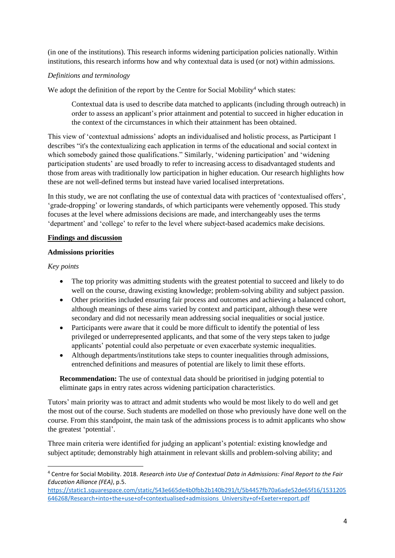(in one of the institutions). This research informs widening participation policies nationally. Within institutions, this research informs how and why contextual data is used (or not) within admissions.

# *Definitions and terminology*

We adopt the definition of the report by the Centre for Social Mobility<sup>4</sup> which states:

Contextual data is used to describe data matched to applicants (including through outreach) in order to assess an applicant's prior attainment and potential to succeed in higher education in the context of the circumstances in which their attainment has been obtained.

This view of 'contextual admissions' adopts an individualised and holistic process, as Participant 1 describes "it's the contextualizing each application in terms of the educational and social context in which somebody gained those qualifications." Similarly, 'widening participation' and 'widening participation students' are used broadly to refer to increasing access to disadvantaged students and those from areas with traditionally low participation in higher education. Our research highlights how these are not well-defined terms but instead have varied localised interpretations.

In this study, we are not conflating the use of contextual data with practices of 'contextualised offers', 'grade-dropping' or lowering standards, of which participants were vehemently opposed. This study focuses at the level where admissions decisions are made, and interchangeably uses the terms 'department' and 'college' to refer to the level where subject-based academics make decisions.

## **Findings and discussion**

#### **Admissions priorities**

## *Key points*

- The top priority was admitting students with the greatest potential to succeed and likely to do well on the course, drawing existing knowledge; problem-solving ability and subject passion.
- Other priorities included ensuring fair process and outcomes and achieving a balanced cohort, although meanings of these aims varied by context and participant, although these were secondary and did not necessarily mean addressing social inequalities or social justice.
- Participants were aware that it could be more difficult to identify the potential of less privileged or underrepresented applicants, and that some of the very steps taken to judge applicants' potential could also perpetuate or even exacerbate systemic inequalities.
- Although departments/institutions take steps to counter inequalities through admissions, entrenched definitions and measures of potential are likely to limit these efforts.

**Recommendation:** The use of contextual data should be prioritised in judging potential to eliminate gaps in entry rates across widening participation characteristics.

Tutors' main priority was to attract and admit students who would be most likely to do well and get the most out of the course. Such students are modelled on those who previously have done well on the course. From this standpoint, the main task of the admissions process is to admit applicants who show the greatest 'potential'.

Three main criteria were identified for judging an applicant's potential: existing knowledge and subject aptitude; demonstrably high attainment in relevant skills and problem-solving ability; and

<sup>4</sup> Centre for Social Mobility. 2018. *Research into Use of Contextual Data in Admissions: Final Report to the Fair Education Alliance (FEA)*, p.5.

[https://static1.squarespace.com/static/543e665de4b0fbb2b140b291/t/5b4457fb70a6ade52de65f16/1531205](https://static1.squarespace.com/static/543e665de4b0fbb2b140b291/t/5b4457fb70a6ade52de65f16/1531205646268/Research+into+the+use+of+contextualised+admissions_University+of+Exeter+report.pdf) [646268/Research+into+the+use+of+contextualised+admissions\\_University+of+Exeter+report.pdf](https://static1.squarespace.com/static/543e665de4b0fbb2b140b291/t/5b4457fb70a6ade52de65f16/1531205646268/Research+into+the+use+of+contextualised+admissions_University+of+Exeter+report.pdf)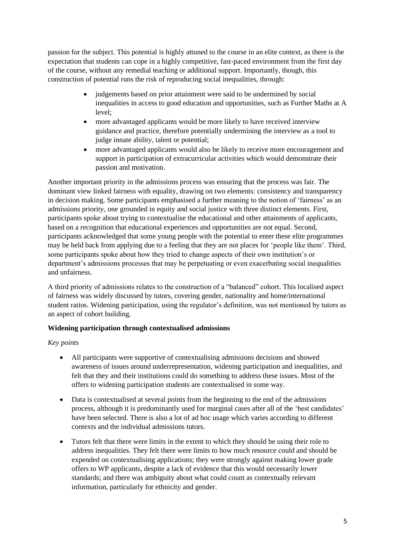passion for the subject. This potential is highly attuned to the course in an elite context, as there is the expectation that students can cope in a highly competitive, fast-paced environment from the first day of the course, without any remedial teaching or additional support. Importantly, though, this construction of potential runs the risk of reproducing social inequalities, through:

- judgements based on prior attainment were said to be undermined by social inequalities in access to good education and opportunities, such as Further Maths at A level;
- more advantaged applicants would be more likely to have received interview guidance and practice, therefore potentially undermining the interview as a tool to judge innate ability, talent or potential;
- more advantaged applicants would also be likely to receive more encouragement and support in participation of extracurricular activities which would demonstrate their passion and motivation.

Another important priority in the admissions process was ensuring that the process was fair. The dominant view linked fairness with equality, drawing on two elements: consistency and transparency in decision making. Some participants emphasised a further meaning to the notion of 'fairness' as an admissions priority, one grounded in equity and social justice with three distinct elements. First, participants spoke about trying to contextualise the educational and other attainments of applicants, based on a recognition that educational experiences and opportunities are not equal. Second, participants acknowledged that some young people with the potential to enter these elite programmes may be held back from applying due to a feeling that they are not places for 'people like them'. Third, some participants spoke about how they tried to change aspects of their own institution's or department's admissions processes that may be perpetuating or even exacerbating social inequalities and unfairness.

A third priority of admissions relates to the construction of a "balanced" cohort. This localised aspect of fairness was widely discussed by tutors, covering gender, nationality and home/international student ratios. Widening participation, using the regulator's definition, was not mentioned by tutors as an aspect of cohort building.

# **Widening participation through contextualised admissions**

# *Key points*

- All participants were supportive of contextualising admissions decisions and showed awareness of issues around underrepresentation, widening participation and inequalities, and felt that they and their institutions could do something to address these issues. Most of the offers to widening participation students are contextualised in some way.
- Data is contextualised at several points from the beginning to the end of the admissions process, although it is predominantly used for marginal cases after all of the 'best candidates' have been selected. There is also a lot of ad hoc usage which varies according to different contexts and the individual admissions tutors.
- Tutors felt that there were limits in the extent to which they should be using their role to address inequalities. They felt there were limits to how much resource could and should be expended on contextualising applications; they were strongly against making lower grade offers to WP applicants, despite a lack of evidence that this would necessarily lower standards; and there was ambiguity about what could count as contextually relevant information, particularly for ethnicity and gender.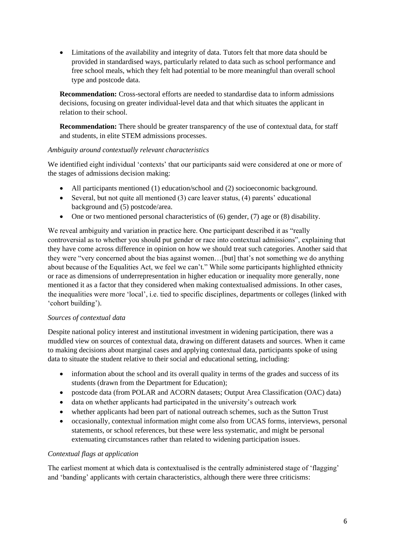• Limitations of the availability and integrity of data. Tutors felt that more data should be provided in standardised ways, particularly related to data such as school performance and free school meals, which they felt had potential to be more meaningful than overall school type and postcode data.

**Recommendation:** Cross-sectoral efforts are needed to standardise data to inform admissions decisions, focusing on greater individual-level data and that which situates the applicant in relation to their school.

**Recommendation:** There should be greater transparency of the use of contextual data, for staff and students, in elite STEM admissions processes.

## *Ambiguity around contextually relevant characteristics*

We identified eight individual 'contexts' that our participants said were considered at one or more of the stages of admissions decision making:

- All participants mentioned (1) education/school and (2) socioeconomic background.
- Several, but not quite all mentioned (3) care leaver status, (4) parents' educational background and (5) postcode/area.
- One or two mentioned personal characteristics of (6) gender, (7) age or (8) disability.

We reveal ambiguity and variation in practice here. One participant described it as "really controversial as to whether you should put gender or race into contextual admissions", explaining that they have come across difference in opinion on how we should treat such categories. Another said that they were "very concerned about the bias against women…[but] that's not something we do anything about because of the Equalities Act, we feel we can't." While some participants highlighted ethnicity or race as dimensions of underrepresentation in higher education or inequality more generally, none mentioned it as a factor that they considered when making contextualised admissions. In other cases, the inequalities were more 'local', i.e. tied to specific disciplines, departments or colleges (linked with 'cohort building').

# *Sources of contextual data*

Despite national policy interest and institutional investment in widening participation, there was a muddled view on sources of contextual data, drawing on different datasets and sources. When it came to making decisions about marginal cases and applying contextual data, participants spoke of using data to situate the student relative to their social and educational setting, including:

- information about the school and its overall quality in terms of the grades and success of its students (drawn from the Department for Education);
- postcode data (from POLAR and ACORN datasets; Output Area Classification (OAC) data)
- data on whether applicants had participated in the university's outreach work
- whether applicants had been part of national outreach schemes, such as the Sutton Trust
- occasionally, contextual information might come also from UCAS forms, interviews, personal statements, or school references, but these were less systematic, and might be personal extenuating circumstances rather than related to widening participation issues.

# *Contextual flags at application*

The earliest moment at which data is contextualised is the centrally administered stage of 'flagging' and 'banding' applicants with certain characteristics, although there were three criticisms: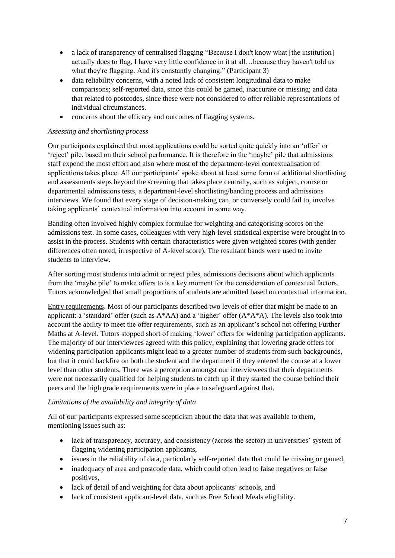- a lack of transparency of centralised flagging "Because I don't know what [the institution] actually does to flag, I have very little confidence in it at all…because they haven't told us what they're flagging. And it's constantly changing." (Participant 3)
- data reliability concerns, with a noted lack of consistent longitudinal data to make comparisons; self-reported data, since this could be gamed, inaccurate or missing; and data that related to postcodes, since these were not considered to offer reliable representations of individual circumstances.
- concerns about the efficacy and outcomes of flagging systems.

## *Assessing and shortlisting process*

Our participants explained that most applications could be sorted quite quickly into an 'offer' or 'reject' pile, based on their school performance. It is therefore in the 'maybe' pile that admissions staff expend the most effort and also where most of the department-level contextualisation of applications takes place. All our participants' spoke about at least some form of additional shortlisting and assessments steps beyond the screening that takes place centrally, such as subject, course or departmental admissions tests, a department-level shortlisting/banding process and admissions interviews. We found that every stage of decision-making can, or conversely could fail to, involve taking applicants' contextual information into account in some way.

Banding often involved highly complex formulae for weighting and categorising scores on the admissions test. In some cases, colleagues with very high-level statistical expertise were brought in to assist in the process. Students with certain characteristics were given weighted scores (with gender differences often noted, irrespective of A-level score). The resultant bands were used to invite students to interview.

After sorting most students into admit or reject piles, admissions decisions about which applicants from the 'maybe pile' to make offers to is a key moment for the consideration of contextual factors. Tutors acknowledged that small proportions of students are admitted based on contextual information.

Entry requirements. Most of our participants described two levels of offer that might be made to an applicant: a 'standard' offer (such as  $A^*AA$ ) and a 'higher' offer  $(A^*A^*A)$ . The levels also took into account the ability to meet the offer requirements, such as an applicant's school not offering Further Maths at A-level. Tutors stopped short of making 'lower' offers for widening participation applicants. The majority of our interviewees agreed with this policy, explaining that lowering grade offers for widening participation applicants might lead to a greater number of students from such backgrounds, but that it could backfire on both the student and the department if they entered the course at a lower level than other students. There was a perception amongst our interviewees that their departments were not necessarily qualified for helping students to catch up if they started the course behind their peers and the high grade requirements were in place to safeguard against that.

# *Limitations of the availability and integrity of data*

All of our participants expressed some scepticism about the data that was available to them, mentioning issues such as:

- lack of transparency, accuracy, and consistency (across the sector) in universities' system of flagging widening participation applicants,
- issues in the reliability of data, particularly self-reported data that could be missing or gamed,
- inadequacy of area and postcode data, which could often lead to false negatives or false positives,
- lack of detail of and weighting for data about applicants' schools, and
- lack of consistent applicant-level data, such as Free School Meals eligibility.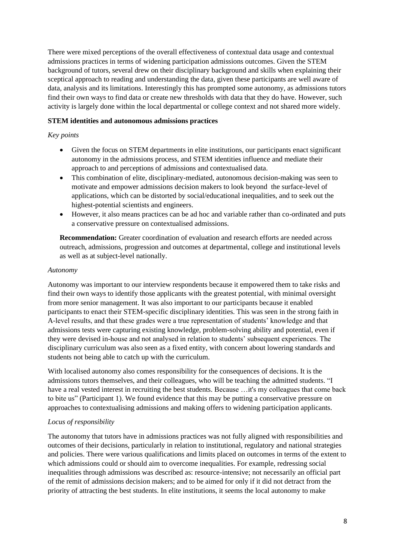There were mixed perceptions of the overall effectiveness of contextual data usage and contextual admissions practices in terms of widening participation admissions outcomes. Given the STEM background of tutors, several drew on their disciplinary background and skills when explaining their sceptical approach to reading and understanding the data, given these participants are well aware of data, analysis and its limitations. Interestingly this has prompted some autonomy, as admissions tutors find their own ways to find data or create new thresholds with data that they do have. However, such activity is largely done within the local departmental or college context and not shared more widely.

## **STEM identities and autonomous admissions practices**

#### *Key points*

- Given the focus on STEM departments in elite institutions, our participants enact significant autonomy in the admissions process, and STEM identities influence and mediate their approach to and perceptions of admissions and contextualised data.
- This combination of elite, disciplinary-mediated, autonomous decision-making was seen to motivate and empower admissions decision makers to look beyond the surface-level of applications, which can be distorted by social/educational inequalities, and to seek out the highest-potential scientists and engineers.
- However, it also means practices can be ad hoc and variable rather than co-ordinated and puts a conservative pressure on contextualised admissions.

**Recommendation:** Greater coordination of evaluation and research efforts are needed across outreach, admissions, progression and outcomes at departmental, college and institutional levels as well as at subject-level nationally.

#### *Autonomy*

Autonomy was important to our interview respondents because it empowered them to take risks and find their own ways to identify those applicants with the greatest potential, with minimal oversight from more senior management. It was also important to our participants because it enabled participants to enact their STEM-specific disciplinary identities. This was seen in the strong faith in A-level results, and that these grades were a true representation of students' knowledge and that admissions tests were capturing existing knowledge, problem-solving ability and potential, even if they were devised in-house and not analysed in relation to students' subsequent experiences. The disciplinary curriculum was also seen as a fixed entity, with concern about lowering standards and students not being able to catch up with the curriculum.

With localised autonomy also comes responsibility for the consequences of decisions. It is the admissions tutors themselves, and their colleagues, who will be teaching the admitted students. "I have a real vested interest in recruiting the best students. Because …it's my colleagues that come back to bite us" (Participant 1). We found evidence that this may be putting a conservative pressure on approaches to contextualising admissions and making offers to widening participation applicants.

#### *Locus of responsibility*

The autonomy that tutors have in admissions practices was not fully aligned with responsibilities and outcomes of their decisions, particularly in relation to institutional, regulatory and national strategies and policies. There were various qualifications and limits placed on outcomes in terms of the extent to which admissions could or should aim to overcome inequalities. For example, redressing social inequalities through admissions was described as: resource-intensive; not necessarily an official part of the remit of admissions decision makers; and to be aimed for only if it did not detract from the priority of attracting the best students. In elite institutions, it seems the local autonomy to make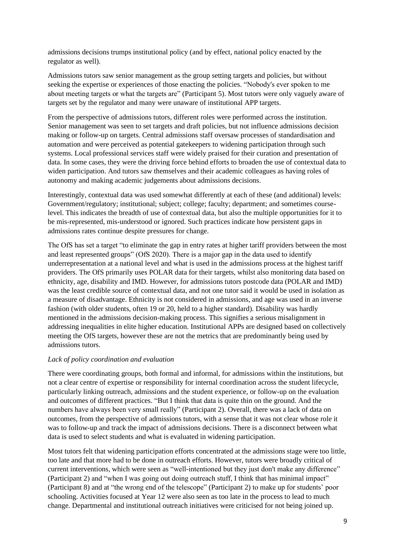admissions decisions trumps institutional policy (and by effect, national policy enacted by the regulator as well).

Admissions tutors saw senior management as the group setting targets and policies, but without seeking the expertise or experiences of those enacting the policies. "Nobody's ever spoken to me about meeting targets or what the targets are" (Participant 5). Most tutors were only vaguely aware of targets set by the regulator and many were unaware of institutional APP targets.

From the perspective of admissions tutors, different roles were performed across the institution. Senior management was seen to set targets and draft policies, but not influence admissions decision making or follow-up on targets. Central admissions staff oversaw processes of standardisation and automation and were perceived as potential gatekeepers to widening participation through such systems. Local professional services staff were widely praised for their curation and presentation of data. In some cases, they were the driving force behind efforts to broaden the use of contextual data to widen participation. And tutors saw themselves and their academic colleagues as having roles of autonomy and making academic judgements about admissions decisions.

Interestingly, contextual data was used somewhat differently at each of these (and additional) levels: Government/regulatory; institutional; subject; college; faculty; department; and sometimes courselevel. This indicates the breadth of use of contextual data, but also the multiple opportunities for it to be mis-represented, mis-understood or ignored. Such practices indicate how persistent gaps in admissions rates continue despite pressures for change.

The OfS has set a target "to eliminate the gap in entry rates at higher tariff providers between the most and least represented groups" (OfS 2020). There is a major gap in the data used to identify underrepresentation at a national level and what is used in the admissions process at the highest tariff providers. The OfS primarily uses POLAR data for their targets, whilst also monitoring data based on ethnicity, age, disability and IMD. However, for admissions tutors postcode data (POLAR and IMD) was the least credible source of contextual data, and not one tutor said it would be used in isolation as a measure of disadvantage. Ethnicity is not considered in admissions, and age was used in an inverse fashion (with older students, often 19 or 20, held to a higher standard). Disability was hardly mentioned in the admissions decision-making process. This signifies a serious misalignment in addressing inequalities in elite higher education. Institutional APPs are designed based on collectively meeting the OfS targets, however these are not the metrics that are predominantly being used by admissions tutors.

#### *Lack of policy coordination and evaluation*

There were coordinating groups, both formal and informal, for admissions within the institutions, but not a clear centre of expertise or responsibility for internal coordination across the student lifecycle, particularly linking outreach, admissions and the student experience, or follow-up on the evaluation and outcomes of different practices. "But I think that data is quite thin on the ground. And the numbers have always been very small really" (Participant 2). Overall, there was a lack of data on outcomes, from the perspective of admissions tutors, with a sense that it was not clear whose role it was to follow-up and track the impact of admissions decisions. There is a disconnect between what data is used to select students and what is evaluated in widening participation.

Most tutors felt that widening participation efforts concentrated at the admissions stage were too little, too late and that more had to be done in outreach efforts. However, tutors were broadly critical of current interventions, which were seen as "well-intentioned but they just don't make any difference" (Participant 2) and "when I was going out doing outreach stuff, I think that has minimal impact" (Participant 8) and at "the wrong end of the telescope" (Participant 2) to make up for students' poor schooling. Activities focused at Year 12 were also seen as too late in the process to lead to much change. Departmental and institutional outreach initiatives were criticised for not being joined up.